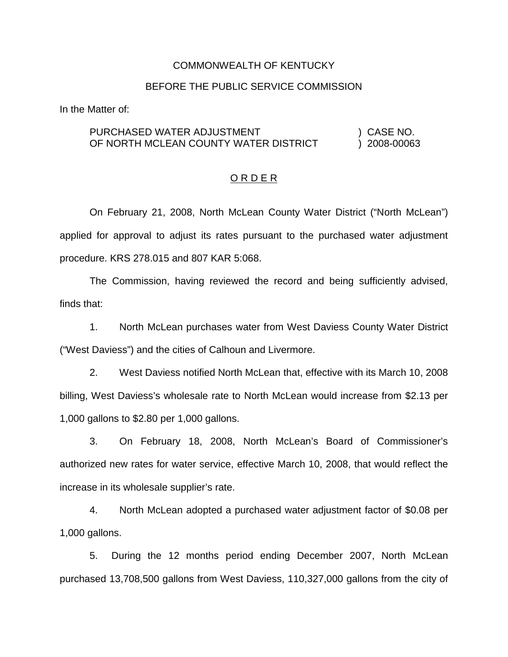### COMMONWEALTH OF KENTUCKY

#### BEFORE THE PUBLIC SERVICE COMMISSION

In the Matter of:

### PURCHASED WATER ADJUSTMENT (2008) CASE NO. OF NORTH MCLEAN COUNTY WATER DISTRICT ) 2008-00063

### O R D E R

On February 21, 2008, North McLean County Water District ("North McLean") applied for approval to adjust its rates pursuant to the purchased water adjustment procedure. KRS 278.015 and 807 KAR 5:068.

The Commission, having reviewed the record and being sufficiently advised, finds that:

1. North McLean purchases water from West Daviess County Water District ("West Daviess") and the cities of Calhoun and Livermore.

2. West Daviess notified North McLean that, effective with its March 10, 2008 billing, West Daviess's wholesale rate to North McLean would increase from \$2.13 per 1,000 gallons to \$2.80 per 1,000 gallons.

3. On February 18, 2008, North McLean's Board of Commissioner's authorized new rates for water service, effective March 10, 2008, that would reflect the increase in its wholesale supplier's rate.

4. North McLean adopted a purchased water adjustment factor of \$0.08 per 1,000 gallons.

5. During the 12 months period ending December 2007, North McLean purchased 13,708,500 gallons from West Daviess, 110,327,000 gallons from the city of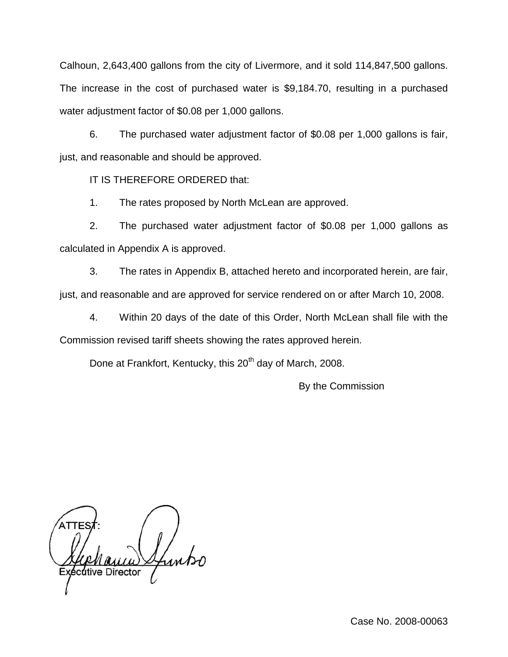Calhoun, 2,643,400 gallons from the city of Livermore, and it sold 114,847,500 gallons. The increase in the cost of purchased water is \$9,184.70, resulting in a purchased water adjustment factor of \$0.08 per 1,000 gallons.

6. The purchased water adjustment factor of \$0.08 per 1,000 gallons is fair, just, and reasonable and should be approved.

IT IS THEREFORE ORDERED that:

1. The rates proposed by North McLean are approved.

2. The purchased water adjustment factor of \$0.08 per 1,000 gallons as calculated in Appendix A is approved.

3. The rates in Appendix B, attached hereto and incorporated herein, are fair, just, and reasonable and are approved for service rendered on or after March 10, 2008.

4. Within 20 days of the date of this Order, North McLean shall file with the Commission revised tariff sheets showing the rates approved herein.

Done at Frankfort, Kentucky, this 20<sup>th</sup> day of March, 2008.

By the Commission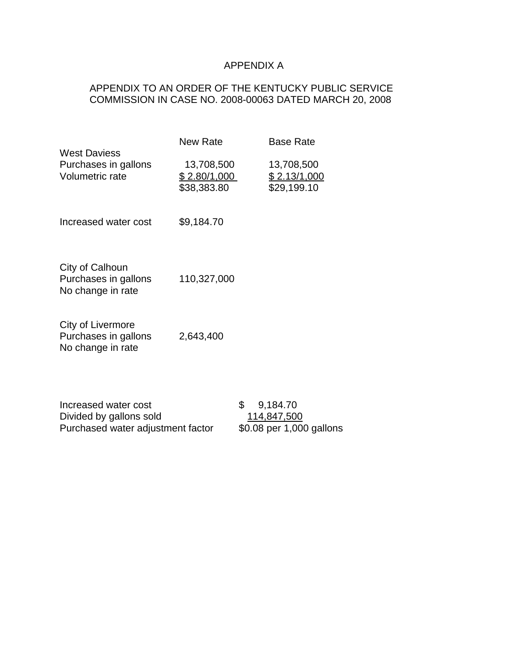# APPENDIX A

## APPENDIX TO AN ORDER OF THE KENTUCKY PUBLIC SERVICE COMMISSION IN CASE NO. 2008-00063 DATED MARCH 20, 2008

|                                                                                      | <b>New Rate</b>                           |    | <b>Base Rate</b>                                           |  |
|--------------------------------------------------------------------------------------|-------------------------------------------|----|------------------------------------------------------------|--|
| <b>West Daviess</b><br>Purchases in gallons<br>Volumetric rate                       | 13,708,500<br>\$2.80/1,000<br>\$38,383.80 |    | 13,708,500<br>\$2.13/1,000<br>\$29,199.10                  |  |
| Increased water cost                                                                 | \$9,184.70                                |    |                                                            |  |
| City of Calhoun<br>Purchases in gallons<br>No change in rate                         | 110,327,000                               |    |                                                            |  |
| City of Livermore<br>Purchases in gallons<br>No change in rate                       | 2,643,400                                 |    |                                                            |  |
| Increased water cost<br>Divided by gallons sold<br>Purchased water adjustment factor |                                           | \$ | 9,184.70<br><u>114,847,500</u><br>\$0.08 per 1,000 gallons |  |